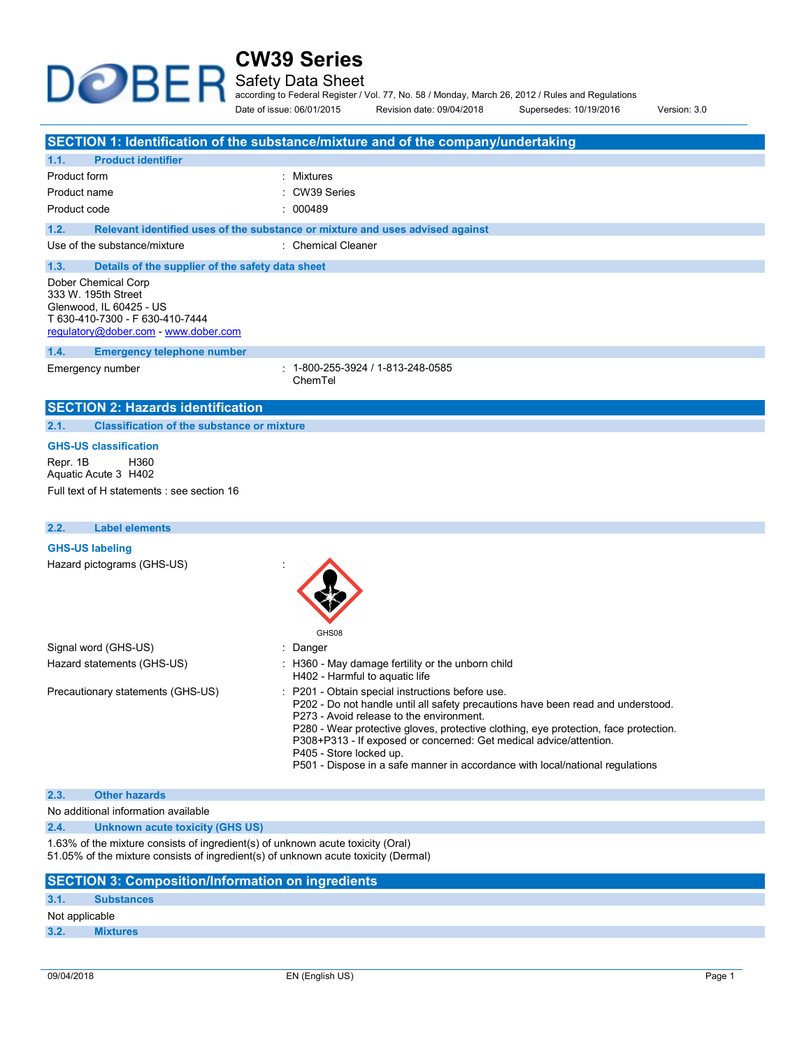Safety Data Sheet

⊋

according to Federal Register / Vol. 77, No. 58 / Monday, March 26, 2012 / Rules and Regulations

Date of issue: 06/01/2015 Revision date: 09/04/2018 Supersedes: 10/19/2016 Version: 3.0

|                                                                                                                                                  | SECTION 1: Identification of the substance/mixture and of the company/undertaking |
|--------------------------------------------------------------------------------------------------------------------------------------------------|-----------------------------------------------------------------------------------|
| <b>Product identifier</b><br>1.1.                                                                                                                |                                                                                   |
| Product form                                                                                                                                     | : Mixtures                                                                        |
| Product name                                                                                                                                     | CW39 Series                                                                       |
| Product code                                                                                                                                     | : 000489                                                                          |
| 1.2.                                                                                                                                             | Relevant identified uses of the substance or mixture and uses advised against     |
| Use of the substance/mixture                                                                                                                     | : Chemical Cleaner                                                                |
| 1.3.<br>Details of the supplier of the safety data sheet                                                                                         |                                                                                   |
| Dober Chemical Corp<br>333 W. 195th Street<br>Glenwood, IL 60425 - US<br>T 630-410-7300 - F 630-410-7444<br>regulatory@dober.com - www.dober.com |                                                                                   |
| 1.4.<br><b>Emergency telephone number</b>                                                                                                        |                                                                                   |
| Emergency number                                                                                                                                 | $: 1 - 800 - 255 - 3924 / 1 - 813 - 248 - 0585$<br>ChemTel                        |
| <b>SECTION 2: Hazards identification</b>                                                                                                         |                                                                                   |
| <b>Classification of the substance or mixture</b><br>2.1.                                                                                        |                                                                                   |
| <b>GHS-US classification</b><br>Repr. 1B<br>H360<br>Aquatic Acute 3 H402<br>Full text of H statements : see section 16                           |                                                                                   |
| <b>Label elements</b><br>2.2.                                                                                                                    |                                                                                   |
| <b>GHS-US labeling</b>                                                                                                                           |                                                                                   |
| Hazard pictograms (GHS-US)                                                                                                                       |                                                                                   |
|                                                                                                                                                  |                                                                                   |

|                                   | GHS08                                                                                                                                                                                                                                                                                                                                                                                                                                                      |  |
|-----------------------------------|------------------------------------------------------------------------------------------------------------------------------------------------------------------------------------------------------------------------------------------------------------------------------------------------------------------------------------------------------------------------------------------------------------------------------------------------------------|--|
| Signal word (GHS-US)              | : Danger                                                                                                                                                                                                                                                                                                                                                                                                                                                   |  |
| Hazard statements (GHS-US)        | : H360 - May damage fertility or the unborn child<br>H402 - Harmful to aquatic life                                                                                                                                                                                                                                                                                                                                                                        |  |
| Precautionary statements (GHS-US) | : P201 - Obtain special instructions before use.<br>P202 - Do not handle until all safety precautions have been read and understood.<br>P273 - Avoid release to the environment.<br>P280 - Wear protective gloves, protective clothing, eye protection, face protection.<br>P308+P313 - If exposed or concerned: Get medical advice/attention.<br>P405 - Store locked up.<br>P501 - Dispose in a safe manner in accordance with local/national regulations |  |

#### 2.3. Other hazards

No additional information available

**DOBE** 

2.4. Unknown acute toxicity (GHS US)

1.63% of the mixture consists of ingredient(s) of unknown acute toxicity (Oral) 51.05% of the mixture consists of ingredient(s) of unknown acute toxicity (Dermal)

### SECTION 3: Composition/Information on ingredients

#### 3.1. Substances

Not applicable

3.2. Mixtures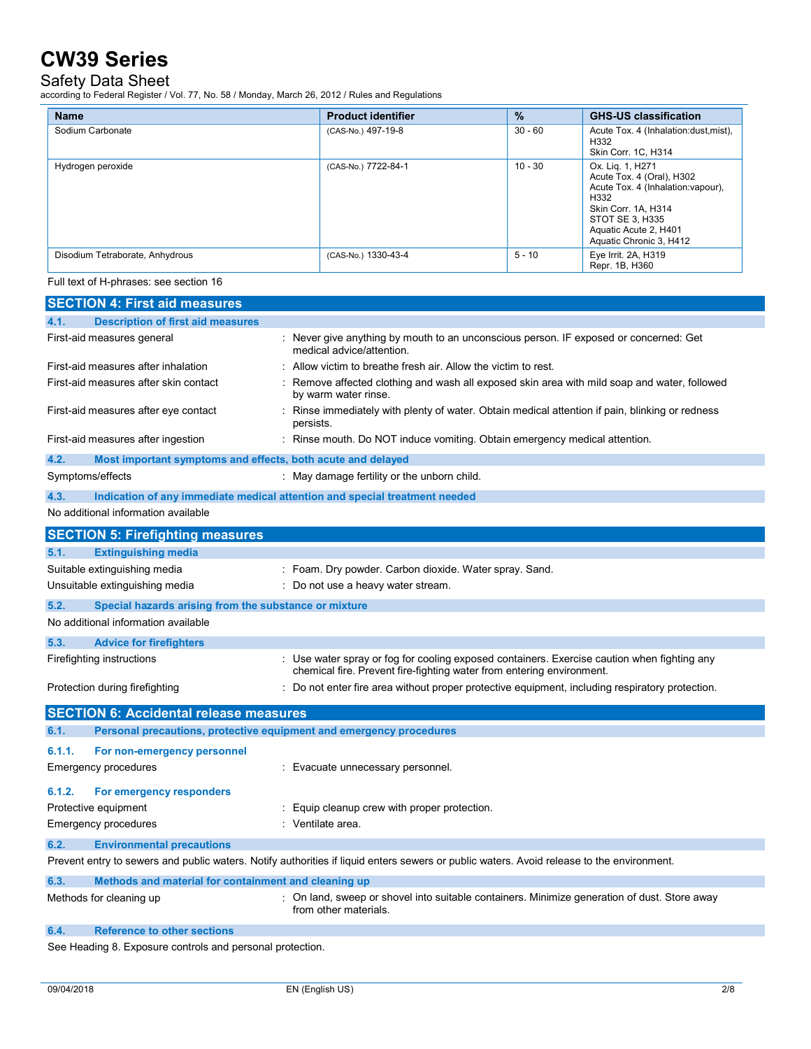## Safety Data Sheet

according to Federal Register / Vol. 77, No. 58 / Monday, March 26, 2012 / Rules and Regulations

| <b>Name</b>                     | <b>Product identifier</b> | $\%$      | <b>GHS-US classification</b>                                                                                                                                                              |
|---------------------------------|---------------------------|-----------|-------------------------------------------------------------------------------------------------------------------------------------------------------------------------------------------|
| Sodium Carbonate                | (CAS-No.) 497-19-8        | $30 - 60$ | Acute Tox. 4 (Inhalation:dust, mist),<br>H332<br>Skin Corr. 1C, H314                                                                                                                      |
| Hydrogen peroxide               | (CAS-No.) 7722-84-1       | $10 - 30$ | Ox. Lig. 1, H271<br>Acute Tox. 4 (Oral), H302<br>Acute Tox. 4 (Inhalation: vapour),<br>H332<br>Skin Corr. 1A, H314<br>STOT SE 3. H335<br>Aquatic Acute 2, H401<br>Aquatic Chronic 3, H412 |
| Disodium Tetraborate, Anhydrous | (CAS-No.) 1330-43-4       | $5 - 10$  | Eye Irrit. 2A, H319<br>Repr. 1B, H360                                                                                                                                                     |

Full text of H-phrases: see section 16

| <b>SECTION 4: First aid measures</b>                                        |                                                                                                                                                                      |
|-----------------------------------------------------------------------------|----------------------------------------------------------------------------------------------------------------------------------------------------------------------|
| <b>Description of first aid measures</b><br>4.1.                            |                                                                                                                                                                      |
| First-aid measures general                                                  | : Never give anything by mouth to an unconscious person. IF exposed or concerned: Get<br>medical advice/attention.                                                   |
| First-aid measures after inhalation                                         | Allow victim to breathe fresh air. Allow the victim to rest.                                                                                                         |
| First-aid measures after skin contact                                       | Remove affected clothing and wash all exposed skin area with mild soap and water, followed<br>by warm water rinse.                                                   |
| First-aid measures after eye contact                                        | Rinse immediately with plenty of water. Obtain medical attention if pain, blinking or redness<br>persists.                                                           |
| First-aid measures after ingestion                                          | : Rinse mouth. Do NOT induce vomiting. Obtain emergency medical attention.                                                                                           |
| 4.2.<br>Most important symptoms and effects, both acute and delayed         |                                                                                                                                                                      |
| Symptoms/effects                                                            | : May damage fertility or the unborn child.                                                                                                                          |
| 4.3.                                                                        | Indication of any immediate medical attention and special treatment needed                                                                                           |
| No additional information available                                         |                                                                                                                                                                      |
| <b>SECTION 5: Firefighting measures</b>                                     |                                                                                                                                                                      |
| 5.1.<br><b>Extinguishing media</b>                                          |                                                                                                                                                                      |
| Suitable extinguishing media                                                | : Foam. Dry powder. Carbon dioxide. Water spray. Sand.                                                                                                               |
| Unsuitable extinguishing media                                              | : Do not use a heavy water stream.                                                                                                                                   |
| 5.2.<br>Special hazards arising from the substance or mixture               |                                                                                                                                                                      |
| No additional information available                                         |                                                                                                                                                                      |
| 5.3.<br><b>Advice for firefighters</b>                                      |                                                                                                                                                                      |
| Firefighting instructions                                                   | : Use water spray or fog for cooling exposed containers. Exercise caution when fighting any<br>chemical fire. Prevent fire-fighting water from entering environment. |
| Protection during firefighting                                              | : Do not enter fire area without proper protective equipment, including respiratory protection.                                                                      |
| <b>SECTION 6: Accidental release measures</b>                               |                                                                                                                                                                      |
| Personal precautions, protective equipment and emergency procedures<br>6.1. |                                                                                                                                                                      |
| 6.1.1.<br>For non-emergency personnel                                       |                                                                                                                                                                      |
| <b>Emergency procedures</b>                                                 | : Evacuate unnecessary personnel.                                                                                                                                    |
| 6.1.2.<br>For emergency responders                                          |                                                                                                                                                                      |
| Protective equipment                                                        | : Equip cleanup crew with proper protection.                                                                                                                         |
| <b>Emergency procedures</b>                                                 | : Ventilate area.                                                                                                                                                    |
| 6.2.<br><b>Environmental precautions</b>                                    |                                                                                                                                                                      |
|                                                                             | Prevent entry to sewers and public waters. Notify authorities if liquid enters sewers or public waters. Avoid release to the environment.                            |
| 6.3.<br>Methods and material for containment and cleaning up                |                                                                                                                                                                      |
| Methods for cleaning up                                                     | : On land, sweep or shovel into suitable containers. Minimize generation of dust. Store away<br>from other materials.                                                |
| <b>Reference to other sections</b><br>6.4.                                  |                                                                                                                                                                      |
| oo Hooding Q. Eynoouro controlo and noroonal protoction                     |                                                                                                                                                                      |

See Heading 8. Exposure controls and personal protection.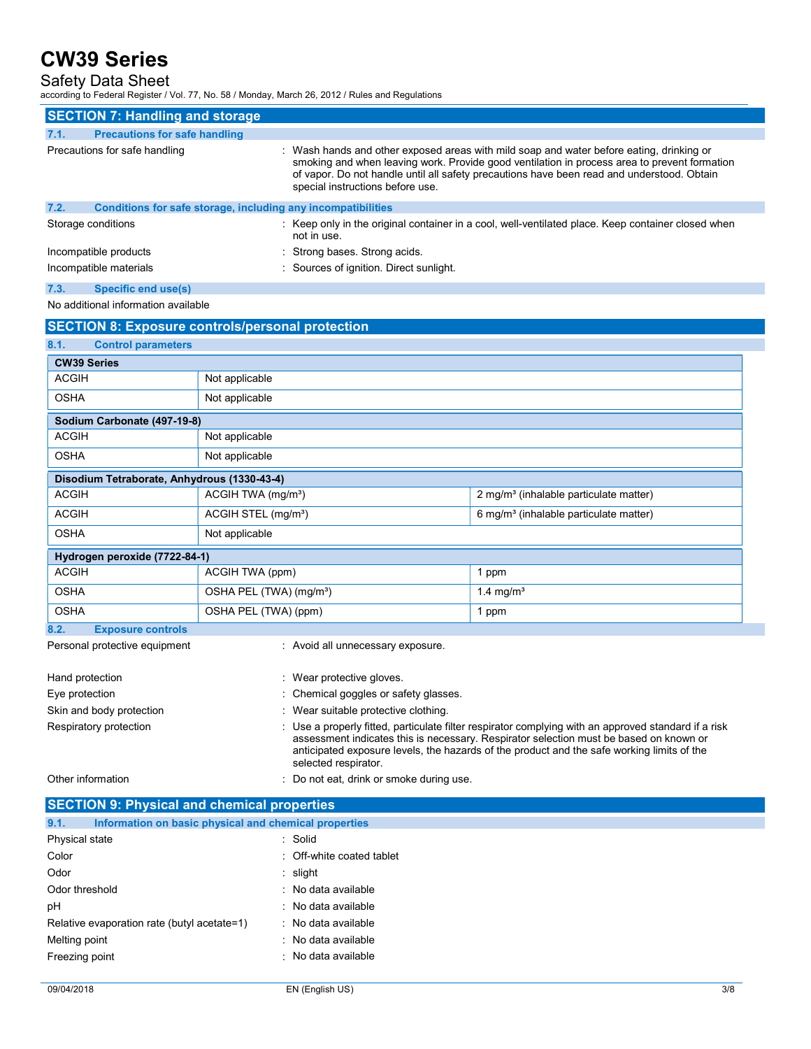### Safety Data Sheet

according to Federal Register / Vol. 77, No. 58 / Monday, March 26, 2012 / Rules and Regulations

|      | <b>SECTION 7: Handling and storage</b>                       |                                                                                                                                                                                                                                                                                                                            |
|------|--------------------------------------------------------------|----------------------------------------------------------------------------------------------------------------------------------------------------------------------------------------------------------------------------------------------------------------------------------------------------------------------------|
| 7.1. | <b>Precautions for safe handling</b>                         |                                                                                                                                                                                                                                                                                                                            |
|      | Precautions for safe handling                                | : Wash hands and other exposed areas with mild soap and water before eating, drinking or<br>smoking and when leaving work. Provide good ventilation in process area to prevent formation<br>of vapor. Do not handle until all safety precautions have been read and understood. Obtain<br>special instructions before use. |
| 7.2. | Conditions for safe storage, including any incompatibilities |                                                                                                                                                                                                                                                                                                                            |
|      | Storage conditions                                           | : Keep only in the original container in a cool, well-ventilated place. Keep container closed when<br>not in use.                                                                                                                                                                                                          |
|      | Incompatible products                                        | : Strong bases. Strong acids                                                                                                                                                                                                                                                                                               |
|      | Incompatible materials                                       | : Sources of ignition. Direct sunlight.                                                                                                                                                                                                                                                                                    |

7.3. Specific end use(s)

No additional information available

| <b>SECTION 8: Exposure controls/personal protection</b> |                                                                                                                                                                                                                                                                                                                      |                                                    |  |  |
|---------------------------------------------------------|----------------------------------------------------------------------------------------------------------------------------------------------------------------------------------------------------------------------------------------------------------------------------------------------------------------------|----------------------------------------------------|--|--|
| 8.1.<br><b>Control parameters</b>                       |                                                                                                                                                                                                                                                                                                                      |                                                    |  |  |
| <b>CW39 Series</b>                                      |                                                                                                                                                                                                                                                                                                                      |                                                    |  |  |
| <b>ACGIH</b>                                            | Not applicable                                                                                                                                                                                                                                                                                                       |                                                    |  |  |
| <b>OSHA</b>                                             | Not applicable                                                                                                                                                                                                                                                                                                       |                                                    |  |  |
| Sodium Carbonate (497-19-8)                             |                                                                                                                                                                                                                                                                                                                      |                                                    |  |  |
| <b>ACGIH</b>                                            | Not applicable                                                                                                                                                                                                                                                                                                       |                                                    |  |  |
| <b>OSHA</b>                                             | Not applicable                                                                                                                                                                                                                                                                                                       |                                                    |  |  |
| Disodium Tetraborate, Anhydrous (1330-43-4)             |                                                                                                                                                                                                                                                                                                                      |                                                    |  |  |
| <b>ACGIH</b>                                            | ACGIH TWA (mg/m <sup>3</sup> )                                                                                                                                                                                                                                                                                       | 2 mg/m <sup>3</sup> (inhalable particulate matter) |  |  |
| <b>ACGIH</b>                                            | ACGIH STEL (mg/m <sup>3</sup> )                                                                                                                                                                                                                                                                                      | 6 mg/m <sup>3</sup> (inhalable particulate matter) |  |  |
| <b>OSHA</b>                                             | Not applicable                                                                                                                                                                                                                                                                                                       |                                                    |  |  |
| Hydrogen peroxide (7722-84-1)                           |                                                                                                                                                                                                                                                                                                                      |                                                    |  |  |
| <b>ACGIH</b>                                            | ACGIH TWA (ppm)                                                                                                                                                                                                                                                                                                      | 1 ppm                                              |  |  |
| <b>OSHA</b>                                             | OSHA PEL (TWA) (mg/m <sup>3</sup> )                                                                                                                                                                                                                                                                                  | 1.4 mg/ $m3$                                       |  |  |
| <b>OSHA</b>                                             | OSHA PEL (TWA) (ppm)                                                                                                                                                                                                                                                                                                 | 1 ppm                                              |  |  |
| 8.2.<br><b>Exposure controls</b>                        |                                                                                                                                                                                                                                                                                                                      |                                                    |  |  |
| Personal protective equipment                           | : Avoid all unnecessary exposure.                                                                                                                                                                                                                                                                                    |                                                    |  |  |
| Hand protection                                         | : Wear protective gloves.                                                                                                                                                                                                                                                                                            |                                                    |  |  |
| Eye protection                                          | : Chemical goggles or safety glasses.                                                                                                                                                                                                                                                                                |                                                    |  |  |
| Skin and body protection                                | : Wear suitable protective clothing.                                                                                                                                                                                                                                                                                 |                                                    |  |  |
| Respiratory protection                                  | : Use a properly fitted, particulate filter respirator complying with an approved standard if a risk<br>assessment indicates this is necessary. Respirator selection must be based on known or<br>anticipated exposure levels, the hazards of the product and the safe working limits of the<br>selected respirator. |                                                    |  |  |
| Other information                                       | Do not eat, drink or smoke during use.                                                                                                                                                                                                                                                                               |                                                    |  |  |

| <b>SECTION 9: Physical and chemical properties</b>            |                           |  |
|---------------------------------------------------------------|---------------------------|--|
| 9.1.<br>Information on basic physical and chemical properties |                           |  |
| Physical state                                                | : Solid                   |  |
| Color                                                         | : Off-white coated tablet |  |
| Odor                                                          | $:$ slight                |  |
| Odor threshold                                                | : No data available       |  |
| pH                                                            | : No data available       |  |
| Relative evaporation rate (butyl acetate=1)                   | : No data available       |  |
| Melting point                                                 | : No data available       |  |
| Freezing point                                                | : No data available       |  |
|                                                               |                           |  |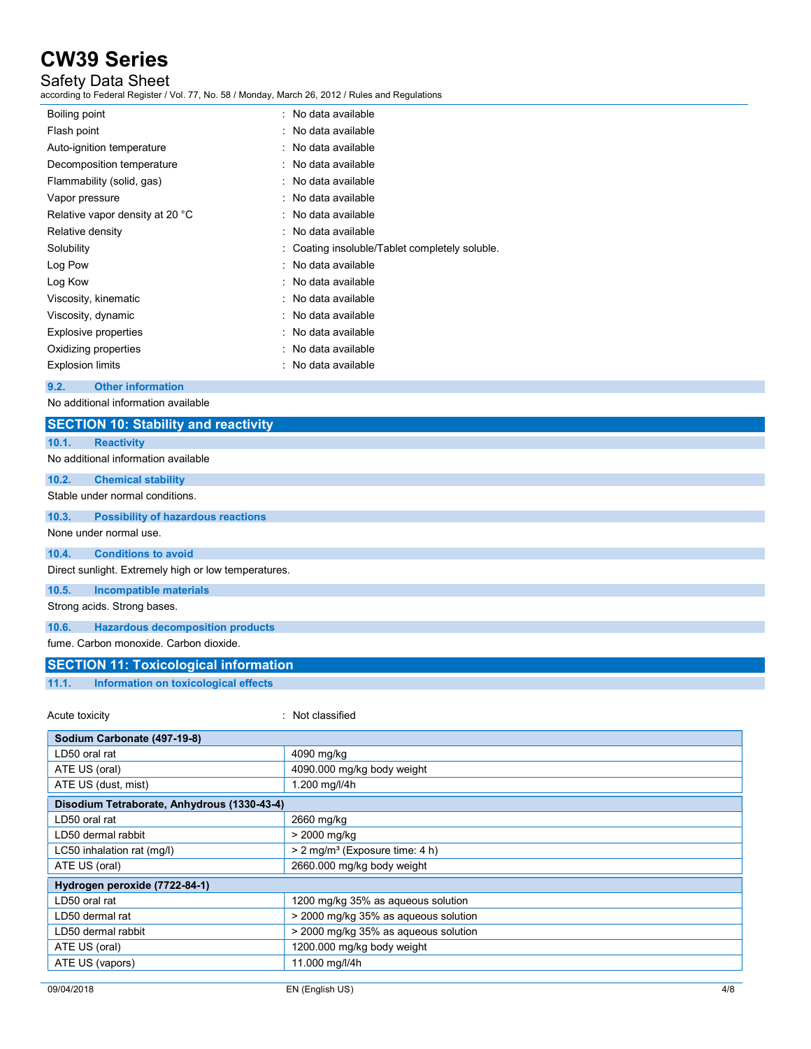## Safety Data Sheet

according to Federal Register / Vol. 77, No. 58 / Monday, March 26, 2012 / Rules and Regulations

| Boiling point                   | No data available                            |
|---------------------------------|----------------------------------------------|
| Flash point                     | : No data available                          |
| Auto-ignition temperature       | : No data available                          |
| Decomposition temperature       | No data available                            |
| Flammability (solid, gas)       | $:$ No data available                        |
| Vapor pressure                  | : No data available                          |
| Relative vapor density at 20 °C | No data available                            |
| Relative density                | : No data available                          |
| Solubility                      | Coating insoluble/Tablet completely soluble. |
| Log Pow                         | : No data available                          |
| Log Kow                         | : No data available                          |
| Viscosity, kinematic            | · No data available                          |
| Viscosity, dynamic              | $\therefore$ No data available               |
| Explosive properties            | No data available                            |
| Oxidizing properties            | No data available                            |
| <b>Explosion limits</b>         | No data available                            |
|                                 |                                              |

#### 9.2. Other information

No additional information available

| <b>SECTION 10: Stability and reactivity</b>          |                            |
|------------------------------------------------------|----------------------------|
| 10.1.<br><b>Reactivity</b>                           |                            |
| No additional information available                  |                            |
| 10.2.<br><b>Chemical stability</b>                   |                            |
| Stable under normal conditions.                      |                            |
| <b>Possibility of hazardous reactions</b><br>10.3.   |                            |
| None under normal use.                               |                            |
| <b>Conditions to avoid</b><br>10.4.                  |                            |
| Direct sunlight. Extremely high or low temperatures. |                            |
| 10.5.<br><b>Incompatible materials</b>               |                            |
| Strong acids. Strong bases.                          |                            |
| <b>Hazardous decomposition products</b><br>10.6.     |                            |
| fume. Carbon monoxide. Carbon dioxide.               |                            |
| <b>SECTION 11: Toxicological information</b>         |                            |
| Information on toxicological effects<br>11.1.        |                            |
| Acute toxicity                                       | Not classified             |
| Sodium Carbonate (497-19-8)                          |                            |
| LD50 oral rat                                        | 4090 mg/kg                 |
| ATE US (oral)                                        | 4090.000 mg/kg body weight |
| ATE US (dust, mist)                                  | 1.200 mg/l/4h              |
| Disodium Tetraborate, Anhydrous (1330-43-4)          |                            |

| LD50 oral rat                 | 2660 mg/kg                                 |  |
|-------------------------------|--------------------------------------------|--|
| LD50 dermal rabbit            | > 2000 mg/kg                               |  |
| LC50 inhalation rat (mg/l)    | > 2 mg/m <sup>3</sup> (Exposure time: 4 h) |  |
| ATE US (oral)                 | 2660.000 mg/kg body weight                 |  |
| Hydrogen peroxide (7722-84-1) |                                            |  |
| LD50 oral rat                 | 1200 mg/kg 35% as agueous solution         |  |
| LD50 dermal rat               | > 2000 mg/kg 35% as agueous solution       |  |
| LD50 dermal rabbit            | > 2000 mg/kg 35% as agueous solution       |  |
| ATE US (oral)                 | 1200.000 mg/kg body weight                 |  |
| ATE US (vapors)               | 11.000 mg/l/4h                             |  |
|                               |                                            |  |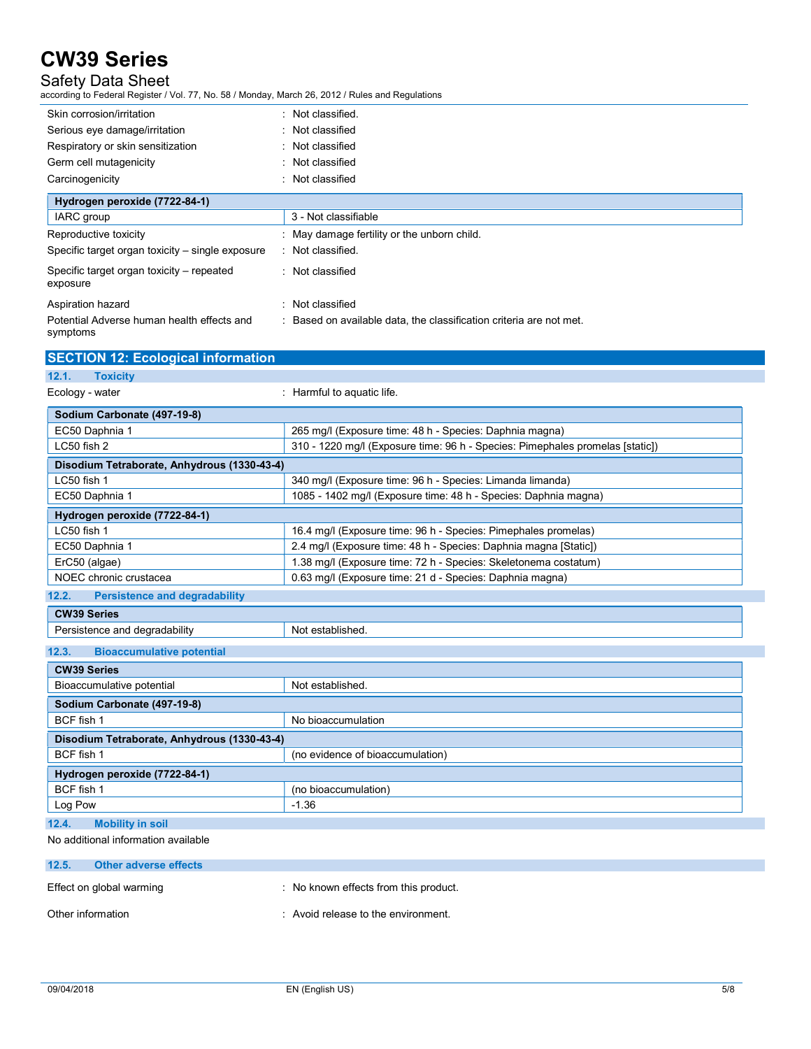## Safety Data Sheet

according to Federal Register / Vol. 77, No. 58 / Monday, March 26, 2012 / Rules and Regulations

| Skin corrosion/irritation                             | : Not classified.                                                 |
|-------------------------------------------------------|-------------------------------------------------------------------|
| Serious eye damage/irritation                         | : Not classified                                                  |
| Respiratory or skin sensitization                     | : Not classified                                                  |
| Germ cell mutagenicity                                | : Not classified                                                  |
| Carcinogenicity                                       | : Not classified                                                  |
| Hydrogen peroxide (7722-84-1)                         |                                                                   |
| IARC group                                            | 3 - Not classifiable                                              |
| Reproductive toxicity                                 | : May damage fertility or the unborn child.                       |
| Specific target organ toxicity - single exposure      | : Not classified.                                                 |
| Specific target organ toxicity – repeated<br>exposure | : Not classified                                                  |
| Aspiration hazard                                     | : Not classified                                                  |
| Potential Adverse human health effects and            | Based on available data, the classification criteria are not met. |

symptoms

| <b>SECTION 12: Ecological information</b>     |                                                                               |  |
|-----------------------------------------------|-------------------------------------------------------------------------------|--|
| <b>Toxicity</b><br>12.1.                      |                                                                               |  |
| Ecology - water                               | : Harmful to aquatic life.                                                    |  |
|                                               |                                                                               |  |
| Sodium Carbonate (497-19-8)                   |                                                                               |  |
| EC50 Daphnia 1                                | 265 mg/l (Exposure time: 48 h - Species: Daphnia magna)                       |  |
| LC50 fish 2                                   | 310 - 1220 mg/l (Exposure time: 96 h - Species: Pimephales promelas [static]) |  |
| Disodium Tetraborate, Anhydrous (1330-43-4)   |                                                                               |  |
| LC50 fish 1                                   | 340 mg/l (Exposure time: 96 h - Species: Limanda limanda)                     |  |
| EC50 Daphnia 1                                | 1085 - 1402 mg/l (Exposure time: 48 h - Species: Daphnia magna)               |  |
| Hydrogen peroxide (7722-84-1)                 |                                                                               |  |
| LC50 fish 1                                   | 16.4 mg/l (Exposure time: 96 h - Species: Pimephales promelas)                |  |
| EC50 Daphnia 1                                | 2.4 mg/l (Exposure time: 48 h - Species: Daphnia magna [Static])              |  |
| ErC50 (algae)                                 | 1.38 mg/l (Exposure time: 72 h - Species: Skeletonema costatum)               |  |
| NOEC chronic crustacea                        | 0.63 mg/l (Exposure time: 21 d - Species: Daphnia magna)                      |  |
| 12.2.<br><b>Persistence and degradability</b> |                                                                               |  |
| <b>CW39 Series</b>                            |                                                                               |  |
| Persistence and degradability                 | Not established.                                                              |  |
| 12.3.<br><b>Bioaccumulative potential</b>     |                                                                               |  |
| <b>CW39 Series</b>                            |                                                                               |  |
| Bioaccumulative potential                     | Not established.                                                              |  |
| Sodium Carbonate (497-19-8)                   |                                                                               |  |
| BCF fish 1                                    | No bioaccumulation                                                            |  |
| Disodium Tetraborate, Anhydrous (1330-43-4)   |                                                                               |  |
| BCF fish 1                                    | (no evidence of bioaccumulation)                                              |  |
| Hydrogen peroxide (7722-84-1)                 |                                                                               |  |
| BCF fish 1                                    | (no bioaccumulation)                                                          |  |
| Log Pow                                       | $-1.36$                                                                       |  |
| 12.4.<br><b>Mobility in soil</b>              |                                                                               |  |

No additional information available

| 12.5.             | Other adverse effects    |                                     |
|-------------------|--------------------------|-------------------------------------|
|                   | Effect on global warming | No known effects from this product. |
| Other information |                          | : Avoid release to the environment. |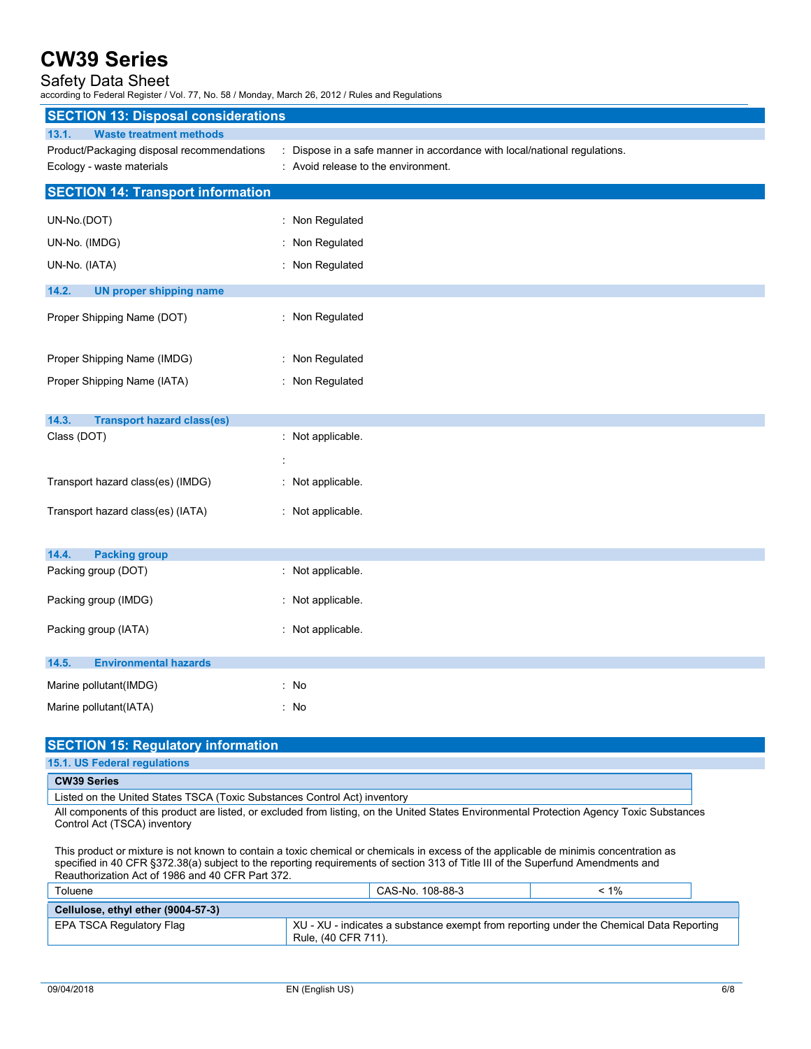## Safety Data Sheet

according to Federal Register / Vol. 77, No. 58 / Monday, March 26, 2012 / Rules and Regulations

| <b>SECTION 13: Disposal considerations</b> |                                                                           |  |  |
|--------------------------------------------|---------------------------------------------------------------------------|--|--|
| <b>Waste treatment methods</b><br>13.1.    |                                                                           |  |  |
| Product/Packaging disposal recommendations | : Dispose in a safe manner in accordance with local/national regulations. |  |  |
| Ecology - waste materials                  | : Avoid release to the environment.                                       |  |  |
| <b>SECTION 14: Transport information</b>   |                                                                           |  |  |
| UN-No.(DOT)                                | : Non Regulated                                                           |  |  |
| UN-No. (IMDG)                              | : Non Regulated                                                           |  |  |
| UN-No. (IATA)                              | : Non Regulated                                                           |  |  |
| 14.2.                                      |                                                                           |  |  |
| <b>UN proper shipping name</b>             |                                                                           |  |  |
| Proper Shipping Name (DOT)                 | : Non Regulated                                                           |  |  |
|                                            |                                                                           |  |  |
| Proper Shipping Name (IMDG)                | : Non Regulated                                                           |  |  |
| Proper Shipping Name (IATA)                | : Non Regulated                                                           |  |  |
|                                            |                                                                           |  |  |
| 14.3.<br><b>Transport hazard class(es)</b> |                                                                           |  |  |
| Class (DOT)                                | : Not applicable.                                                         |  |  |
|                                            | t                                                                         |  |  |
| Transport hazard class(es) (IMDG)          | : Not applicable.                                                         |  |  |
|                                            |                                                                           |  |  |
| Transport hazard class(es) (IATA)          | : Not applicable.                                                         |  |  |
|                                            |                                                                           |  |  |
| 14.4.<br><b>Packing group</b>              |                                                                           |  |  |
| Packing group (DOT)                        | : Not applicable.                                                         |  |  |
| Packing group (IMDG)                       | : Not applicable.                                                         |  |  |
|                                            |                                                                           |  |  |
| Packing group (IATA)                       | : Not applicable.                                                         |  |  |
| 14.5.<br><b>Environmental hazards</b>      |                                                                           |  |  |
| Marine pollutant(IMDG)                     | : No                                                                      |  |  |
| Marine pollutant(IATA)                     | : No                                                                      |  |  |
|                                            |                                                                           |  |  |

| <b>SECTION 15: Regulatory information</b>                                                                                                                                                                                                                                                                                     |  |  |  |
|-------------------------------------------------------------------------------------------------------------------------------------------------------------------------------------------------------------------------------------------------------------------------------------------------------------------------------|--|--|--|
| 15.1. US Federal regulations                                                                                                                                                                                                                                                                                                  |  |  |  |
| <b>CW39 Series</b>                                                                                                                                                                                                                                                                                                            |  |  |  |
| Listed on the United States TSCA (Toxic Substances Control Act) inventory                                                                                                                                                                                                                                                     |  |  |  |
| All components of this product are listed, or excluded from listing, on the United States Environmental Protection Agency Toxic Substances<br>Control Act (TSCA) inventory                                                                                                                                                    |  |  |  |
| This product or mixture is not known to contain a toxic chemical or chemicals in excess of the applicable de minimis concentration as<br>specified in 40 CFR §372.38(a) subject to the reporting requirements of section 313 of Title III of the Superfund Amendments and<br>Reauthorization Act of 1986 and 40 CFR Part 372. |  |  |  |

| Toluene                            | CAS-No. 108-88-3                                                                                               | < 1% |  |
|------------------------------------|----------------------------------------------------------------------------------------------------------------|------|--|
| Cellulose, ethyl ether (9004-57-3) |                                                                                                                |      |  |
| EPA TSCA Regulatory Flag           | XU - XU - indicates a substance exempt from reporting under the Chemical Data Reporting<br>Rule, (40 CFR 711). |      |  |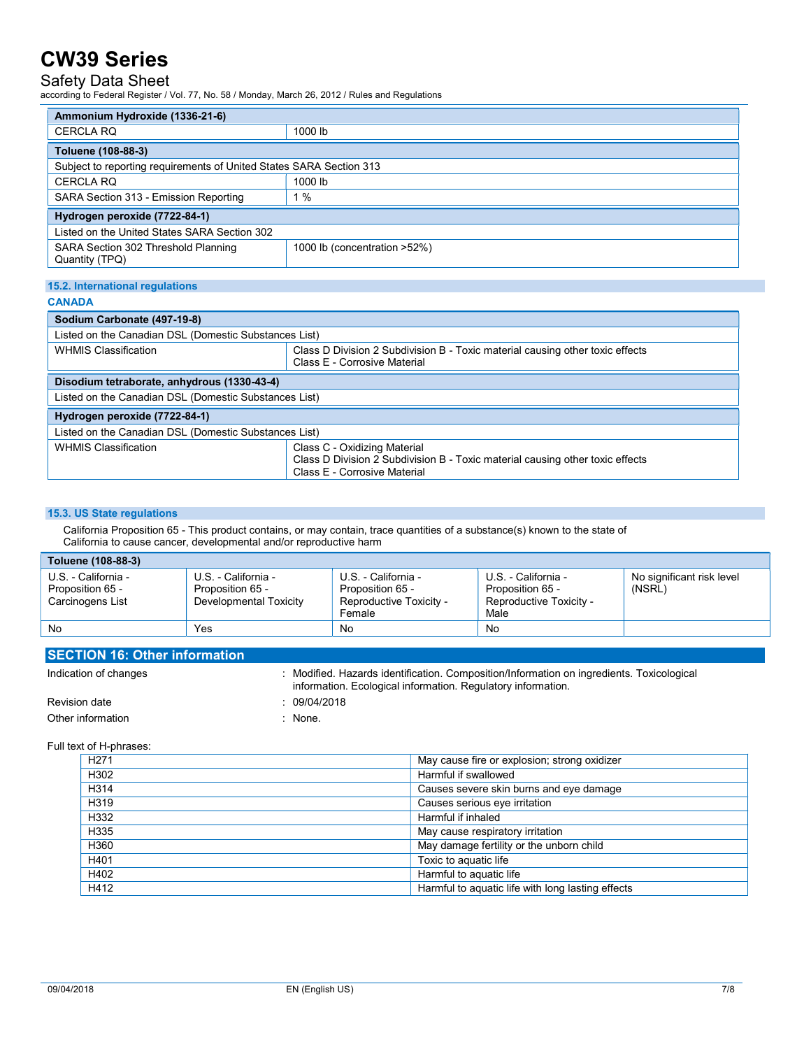## Safety Data Sheet

according to Federal Register / Vol. 77, No. 58 / Monday, March 26, 2012 / Rules and Regulations

| Ammonium Hydroxide (1336-21-6)                                      |                                                                               |  |
|---------------------------------------------------------------------|-------------------------------------------------------------------------------|--|
| <b>CERCLA RQ</b>                                                    | 1000 lb                                                                       |  |
| Toluene (108-88-3)                                                  |                                                                               |  |
| Subject to reporting requirements of United States SARA Section 313 |                                                                               |  |
| <b>CERCLA RQ</b>                                                    | 1000 lb                                                                       |  |
| SARA Section 313 - Emission Reporting                               | 1%                                                                            |  |
| Hydrogen peroxide (7722-84-1)                                       |                                                                               |  |
| Listed on the United States SARA Section 302                        |                                                                               |  |
| SARA Section 302 Threshold Planning<br>Quantity (TPQ)               | 1000 lb (concentration >52%)                                                  |  |
|                                                                     |                                                                               |  |
| 15.2. International regulations                                     |                                                                               |  |
| <b>CANADA</b>                                                       |                                                                               |  |
| Sodium Carbonate (497-19-8)                                         |                                                                               |  |
| Listed on the Canadian DSL (Domestic Substances List)               |                                                                               |  |
| WILIMIC Classification                                              | Close D. Division 2 Cubdivision D. Tovio motorial couping other tovio offects |  |

| <b>WHMIS Classification</b>                           | Class D Division 2 Subdivision B - Toxic material causing other toxic effects<br>Class E - Corrosive Material                                 |  |
|-------------------------------------------------------|-----------------------------------------------------------------------------------------------------------------------------------------------|--|
| Disodium tetraborate, anhydrous (1330-43-4)           |                                                                                                                                               |  |
| Listed on the Canadian DSL (Domestic Substances List) |                                                                                                                                               |  |
| Hydrogen peroxide (7722-84-1)                         |                                                                                                                                               |  |
| Listed on the Canadian DSL (Domestic Substances List) |                                                                                                                                               |  |
| <b>WHMIS Classification</b>                           | Class C - Oxidizing Material<br>Class D Division 2 Subdivision B - Toxic material causing other toxic effects<br>Class E - Corrosive Material |  |

#### 15.3. US State regulations

 California Proposition 65 - This product contains, or may contain, trace quantities of a substance(s) known to the state of California to cause cancer, developmental and/or reproductive harm

| Toluene (108-88-3)                                          |                                                                   |                                                                              |                                                                            |                                     |
|-------------------------------------------------------------|-------------------------------------------------------------------|------------------------------------------------------------------------------|----------------------------------------------------------------------------|-------------------------------------|
| U.S. - California -<br>Proposition 65 -<br>Carcinogens List | U.S. - California -<br>Proposition 65 -<br>Developmental Toxicity | U.S. - California -<br>Proposition 65 -<br>Reproductive Toxicity -<br>Female | U.S. - California -<br>Proposition 65 -<br>Reproductive Toxicity -<br>Male | No significant risk level<br>(NSRL) |
| No.                                                         | Yes                                                               | No                                                                           | No                                                                         |                                     |

| <b>SECTION 16: Other information</b> |                                                                                                                                                           |
|--------------------------------------|-----------------------------------------------------------------------------------------------------------------------------------------------------------|
| Indication of changes                | : Modified. Hazards identification. Composition/Information on ingredients. Toxicological<br>information. Ecological information. Regulatory information. |
| Revision date                        | 09/04/2018                                                                                                                                                |
| Other information                    | None.                                                                                                                                                     |

Full text of H-phrases:

| H <sub>271</sub> | May cause fire or explosion; strong oxidizer      |
|------------------|---------------------------------------------------|
| H302             | Harmful if swallowed                              |
| H314             | Causes severe skin burns and eye damage           |
| H319             | Causes serious eye irritation                     |
| H332             | Harmful if inhaled                                |
| H335             | May cause respiratory irritation                  |
| H360             | May damage fertility or the unborn child          |
| H401             | Toxic to aguatic life                             |
| H402             | Harmful to aquatic life                           |
| H412             | Harmful to aquatic life with long lasting effects |